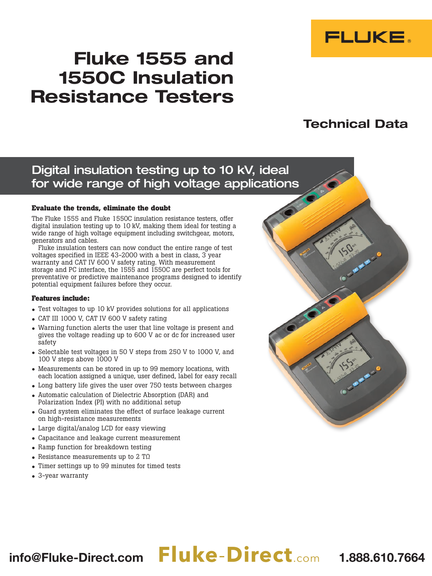

# Fluke 1555 and 1550C Insulation Resistance Testers

# Technical Data

## Digital insulation testing up to 10 kV, ideal for wide range of high voltage applications

#### **Evaluate the trends, eliminate the doubt**

The Fluke 1555 and Fluke 1550C insulation resistance testers, offer digital insulation testing up to 10 kV, making them ideal for testing a wide range of high voltage equipment including switchgear, motors, generators and cables.

Fluke insulation testers can now conduct the entire range of test voltages specified in IEEE 43-2000 with a best in class, 3 year warranty and CAT IV 600 V safety rating. With measurement storage and PC interface, the 1555 and 1550C are perfect tools for preventative or predictive maintenance programs designed to identify potential equipment failures before they occur.

#### **Features include:**

- Test voltages to up 10 kV provides solutions for all applications
- CAT III 1000 V, CAT IV 600 V safety rating
- Warning function alerts the user that line voltage is present and gives the voltage reading up to 600 V ac or dc for increased user safety
- Selectable test voltages in 50 V steps from 250 V to 1000 V, and 100 V steps above 1000 V
- Measurements can be stored in up to 99 memory locations, with each location assigned a unique, user defined, label for easy recall
- Long battery life gives the user over 750 tests between charges
- Automatic calculation of Dielectric Absorption (DAR) and Polarization Index (PI) with no additional setup
- Guard system eliminates the effect of surface leakage current on high-resistance measurements
- Large digital/analog LCD for easy viewing
- Capacitance and leakage current measurement
- Ramp function for breakdown testing
- Resistance measurements up to  $2 T\Omega$
- Timer settings up to 99 minutes for timed tests
- 3-year warranty

# info@Fluke-Direct.com **Fluke**-**Direct**.com 1.888.610.7664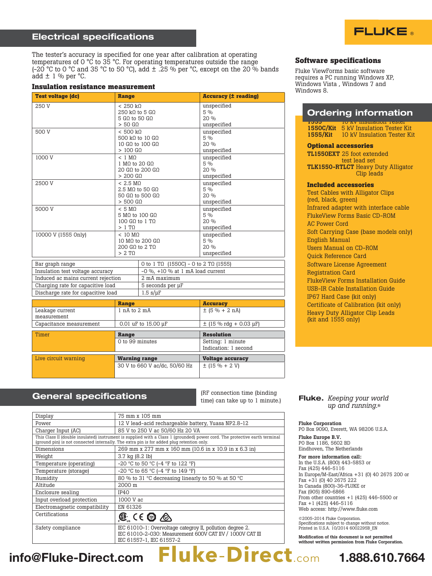#### Electrical specifications

The tester's accuracy is specified for one year after calibration at operating temperatures of 0  $\degree$ C to 35  $\degree$ C. For operating temperatures outside the range (-20 °C to 0 °C and 35 °C to 50 °C), add  $\pm$  .25 % per °C, except on the 20 % bands  $\text{add} \pm 1$  % per °C.

#### **Insulation resistance measurement**

| <b>Test voltage (dc)</b>           | <b>Range</b>                                                                 |                                      | <b>Accuracy (± reading)</b>                |
|------------------------------------|------------------------------------------------------------------------------|--------------------------------------|--------------------------------------------|
| 250 V                              | < 250 k<br>250 kQ to 5 $G\Omega$<br>5 $G\Omega$ to 50 $G\Omega$<br>$> 50$ GO |                                      | unspecified<br>5 %<br>20%<br>unspecified   |
| 500 V                              | < 500 k<br>500 kΩ to 10 GΩ<br>10 GΩ to 100 GΩ<br>$>100$ GQ                   |                                      | unspecified<br>5%<br>20%<br>unspecified    |
| 1000 V                             | $< 1$ MO<br>1 MO to 20 GO<br>20 GΩ to 200 GΩ<br>$> 200$ GO                   |                                      | unspecified<br>$5\%$<br>20%<br>unspecified |
| 2500 V                             | < 2.5 M <sub>0</sub><br>2.5 MQ to 50 GQ<br>50 GQ to 500 GQ<br>$> 500$ GQ     |                                      | unspecified<br>5%<br>20%<br>unspecified    |
| 5000 V                             | $< 5$ MO<br>5 M $\Omega$ to 100 G $\Omega$<br>100 GΩ to 1 TΩ<br>$>1$ TO      |                                      | unspecified<br>$5\%$<br>20%<br>unspecified |
| 10000 V (1555 Only)                | $< 10$ MO<br>10 MQ to 200 GQ<br>200 GΩ to 2 TΩ<br>$> 2$ TΩ                   |                                      | unspecified<br>$5\%$<br>20%<br>unspecified |
| Bar graph range                    |                                                                              | 0 to 1 TΩ (1550C) - 0 to 2 TΩ (1555) |                                            |
| Insulation test voltage accuracy   |                                                                              | $-0$ %. $+10$ % at 1 mA load current |                                            |
| Induced ac mains current rejection |                                                                              | 2 mA maximum                         |                                            |
| Charging rate for capacitive load  |                                                                              | 5 seconds per µF                     |                                            |
| Discharge rate for capacitive load |                                                                              | $1.5$ s/ $\mu$ F                     |                                            |
|                                    | <b>Range</b>                                                                 |                                      | <b>Accuracy</b>                            |
| Leakage current                    | 1 nA to 2 mA                                                                 |                                      | $+$ $(5.06 + 2 nA)$                        |

|                         | 30 V to 660 V ac/dc, 50/60 Hz | $\pm$ (15 % + 2 V)         |
|-------------------------|-------------------------------|----------------------------|
| Live circuit warning    | <b>Warning range</b>          | <b>Voltage accuracy</b>    |
|                         |                               |                            |
|                         |                               | Indication: 1 second       |
|                         | 0 to 99 minutes               | Setting: 1 minute          |
|                         |                               |                            |
| Timer                   | Range                         | <b>Resolution</b>          |
|                         |                               |                            |
| Capacitance measurement | 0.01 uF to 15.00 uF           | $\pm$ (15 % rdg + 0.03 µF) |
| measurement             |                               |                            |
| Leakage current         | 1 nA to 2 mA                  | $\pm$ (5 % + 2 nA)         |

#### General specifications

(RF connection time (binding time) can take up to 1 minute.)

| Display                                                                                                                                                                                                                  | 75 mm x 105 mm                                                                                                                                     |  |  |
|--------------------------------------------------------------------------------------------------------------------------------------------------------------------------------------------------------------------------|----------------------------------------------------------------------------------------------------------------------------------------------------|--|--|
| Power                                                                                                                                                                                                                    | 12 V lead-acid rechargeable battery, Yuasa NP2.8-12                                                                                                |  |  |
| Charger Input (AC)                                                                                                                                                                                                       | 85 V to 250 V ac 50/60 Hz 20 VA                                                                                                                    |  |  |
| This Class II (double insulated) instrument is supplied with a Class 1 (grounded) power cord. The protective earth terminal<br>(ground pin) is not connected internally. The extra pin is for added plug retention only. |                                                                                                                                                    |  |  |
| Dimensions                                                                                                                                                                                                               | 269 mm x 277 mm x 160 mm (10.6 in x 10.9 in x 6.3 in)                                                                                              |  |  |
| Weight                                                                                                                                                                                                                   | $3.7 \text{ kg} (8.2 \text{ lb})$                                                                                                                  |  |  |
| Temperature (operating)                                                                                                                                                                                                  | -20 °C to 50 °C (-4 °F to 122 °F)                                                                                                                  |  |  |
| Temperature (storage)                                                                                                                                                                                                    | $-20$ °C to 65 °C ( $-4$ °F to 149 °F)                                                                                                             |  |  |
| Humidity                                                                                                                                                                                                                 | 80 % to 31 °C decreasing linearly to 50 % at 50 °C                                                                                                 |  |  |
| Altitude                                                                                                                                                                                                                 | 2000 m                                                                                                                                             |  |  |
| Enclosure sealing                                                                                                                                                                                                        | IP40                                                                                                                                               |  |  |
| Input overload protection                                                                                                                                                                                                | 1000 V ac                                                                                                                                          |  |  |
| Electromagnetic compatibility                                                                                                                                                                                            | EN 61326                                                                                                                                           |  |  |
| Certifications                                                                                                                                                                                                           | $\textcircled{\tiny{\textcircled{\tiny{#}}}}$ (e $\textcircled{\tiny{\textcircled{\tiny{#}}}}$ ) $\textcircled{\tiny{\textcircled{\tiny{#}}}}$     |  |  |
| Safety compliance                                                                                                                                                                                                        | IEC 61010-1: Overvoltage categroy II, pollution degree 2.<br>IEC 61010-2-030: Measurement 600V CAT IIV / 1000V CAT III<br>IEC 61557-1, IEC 61557-2 |  |  |



#### **Software specifications**

Fluke ViewForms basic software requires a PC running Windows XP, Windows Vista , Windows 7 and Windows 8.

### Ordering information

1555 10 kV Insulation Tester 1550C/Kit 5 kV Insulation Tester Kit 1555/Kit 10 kV Insulation Tester Kit

#### **Optional accessories**

TL1550EXT 25 foot extended test lead set TLK1550-RTLCT Heavy Duty Alligator Clip leads

#### **Included accessories**

Test Cables with Alligator Clips (red, black, green) Infrared adapter with interface cable FlukeView Forms Basic CD-ROM AC Power Cord Soft Carrying Case (base models only) English Manual Users Manual on CD-ROM Quick Reference Card Software License Agreement Registration Card FlukeView Forms Installation Guide USB-IR Cable Installation Guide IP67 Hard Case (kit only) Certificate of Calibration (kit only) Heavy Duty Alligator Clip Leads (kit and 1555 only)

#### Fluke. *Keeping your world up and running.*®

Fluke Corporation PO Box 9090, Everett, WA 98206 U.S.A.

Fluke Europe B.V. PO Box 1186, 5602 BD Eindhoven, The Netherlands

#### For more information call: In the U.S.A. (800) 443-5853 or Fax (425) 446-5116

In Europe/M-East/Africa +31 (0) 40 2675 200 or Fax +31 (0) 40 2675 222 In Canada (800)-36-FLUKE or Fax (905) 890-6866 From other countries +1 (425) 446-5500 or Fax +1 (425) 446-5116 Web access: http://www.fluke.com

©2005-2014 Fluke Corporation. Specifications subject to change without notice. Printed in U.S.A. 10/2014 6002295B\_EN

Modification of this document is not permitted without written permission from Fluke Corporation.

#### $\omega$ Fluke-Directicom Fluke info@Fluke-Direct.com **Fluke**-**Direct**.com 1.888.610.7664